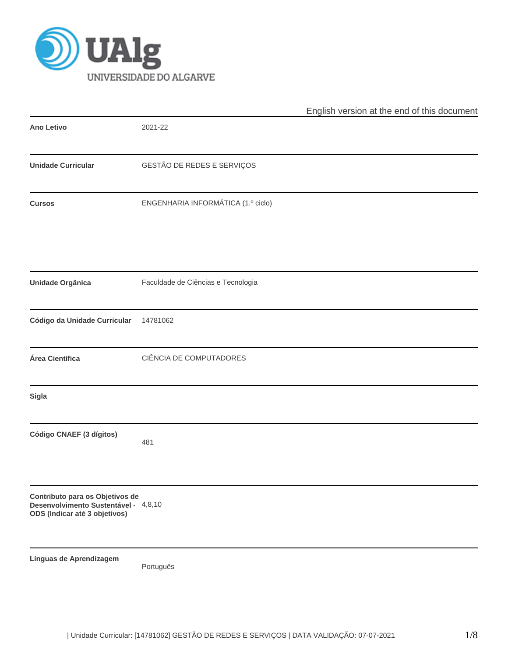

|                                                                                                          |                                    | English version at the end of this document |
|----------------------------------------------------------------------------------------------------------|------------------------------------|---------------------------------------------|
| <b>Ano Letivo</b>                                                                                        | 2021-22                            |                                             |
| <b>Unidade Curricular</b>                                                                                | GESTÃO DE REDES E SERVIÇOS         |                                             |
| <b>Cursos</b>                                                                                            | ENGENHARIA INFORMÁTICA (1.º ciclo) |                                             |
| <b>Unidade Orgânica</b>                                                                                  | Faculdade de Ciências e Tecnologia |                                             |
| Código da Unidade Curricular                                                                             | 14781062                           |                                             |
| Área Científica                                                                                          | CIÊNCIA DE COMPUTADORES            |                                             |
| <b>Sigla</b>                                                                                             |                                    |                                             |
| Código CNAEF (3 dígitos)                                                                                 | 481                                |                                             |
| Contributo para os Objetivos de<br>Desenvolvimento Sustentável - 4,8,10<br>ODS (Indicar até 3 objetivos) |                                    |                                             |
| Línguas de Aprendizagem                                                                                  | Português                          |                                             |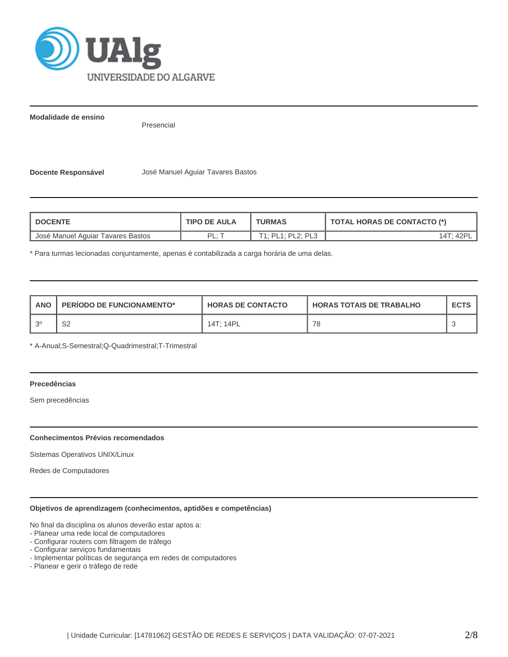

**Modalidade de ensino**

Presencial

**Docente Responsável** José Manuel Aguiar Tavares Bastos

| <b>DOCENTE</b>                    | <b>TIPO DE AULA</b> | <b>TURMAS</b>     | <b>TOTAL HORAS DE CONTACTO (*)</b> |  |  |
|-----------------------------------|---------------------|-------------------|------------------------------------|--|--|
| José Manuel Aguiar Tavares Bastos | ׂ ∙ ום              | T1: PL1: PL2: PL3 |                                    |  |  |

\* Para turmas lecionadas conjuntamente, apenas é contabilizada a carga horária de uma delas.

| ANO | <b>PERIODO DE FUNCIONAMENTO*</b> | <b>HORAS DE CONTACTO</b> | <b>HORAS TOTAIS DE TRABALHO</b> | <b>ECTS</b> |
|-----|----------------------------------|--------------------------|---------------------------------|-------------|
| ົດ  | ິ<br>ےت                          | 14T: 14PL                | 78                              |             |

\* A-Anual;S-Semestral;Q-Quadrimestral;T-Trimestral

## **Precedências**

Sem precedências

### **Conhecimentos Prévios recomendados**

Sistemas Operativos UNIX/Linux

Redes de Computadores

### **Objetivos de aprendizagem (conhecimentos, aptidões e competências)**

No final da disciplina os alunos deverão estar aptos a:

- Planear uma rede local de computadores
- Configurar routers com filtragem de tráfego
- Configurar serviços fundamentais
- Implementar políticas de segurança em redes de computadores
- Planear e gerir o tráfego de rede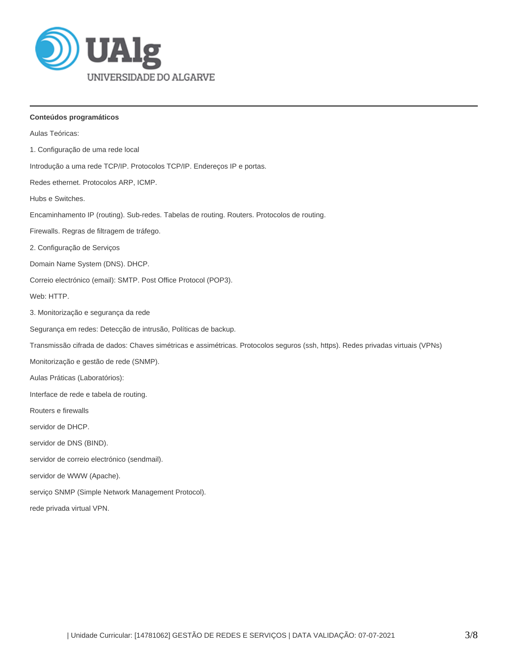

# **Conteúdos programáticos**

| Aulas Teóricas:                                                                                                                 |
|---------------------------------------------------------------------------------------------------------------------------------|
| 1. Configuração de uma rede local                                                                                               |
| Introdução a uma rede TCP/IP. Protocolos TCP/IP. Endereços IP e portas.                                                         |
| Redes ethernet. Protocolos ARP, ICMP.                                                                                           |
| Hubs e Switches.                                                                                                                |
| Encaminhamento IP (routing). Sub-redes. Tabelas de routing. Routers. Protocolos de routing.                                     |
| Firewalls. Regras de filtragem de tráfego.                                                                                      |
| 2. Configuração de Serviços                                                                                                     |
| Domain Name System (DNS). DHCP.                                                                                                 |
| Correio electrónico (email): SMTP. Post Office Protocol (POP3).                                                                 |
| Web: HTTP.                                                                                                                      |
| 3. Monitorização e segurança da rede                                                                                            |
| Segurança em redes: Detecção de intrusão, Políticas de backup.                                                                  |
| Transmissão cifrada de dados: Chaves simétricas e assimétricas. Protocolos seguros (ssh, https). Redes privadas virtuais (VPNs) |
| Monitorização e gestão de rede (SNMP).                                                                                          |
| Aulas Práticas (Laboratórios):                                                                                                  |
| Interface de rede e tabela de routing.                                                                                          |
| Routers e firewalls                                                                                                             |
| servidor de DHCP.                                                                                                               |
| servidor de DNS (BIND).                                                                                                         |
| servidor de correio electrónico (sendmail).                                                                                     |
| servidor de WWW (Apache).                                                                                                       |
| serviço SNMP (Simple Network Management Protocol).                                                                              |
| rede privada virtual VPN.                                                                                                       |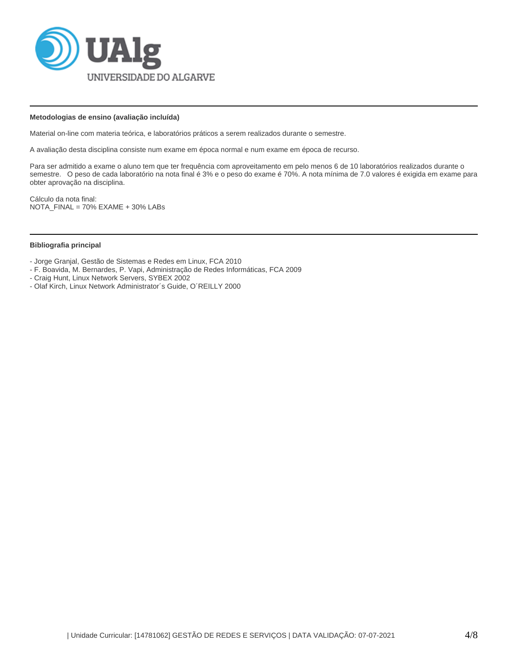

### **Metodologias de ensino (avaliação incluída)**

Material on-line com materia teórica, e laboratórios práticos a serem realizados durante o semestre.

A avaliação desta disciplina consiste num exame em época normal e num exame em época de recurso.

Para ser admitido a exame o aluno tem que ter frequência com aproveitamento em pelo menos 6 de 10 laboratórios realizados durante o semestre. O peso de cada laboratório na nota final é 3% e o peso do exame é 70%. A nota mínima de 7.0 valores é exigida em exame para obter aprovação na disciplina.

Cálculo da nota final: NOTA\_FINAL = 70% EXAME + 30% LABs

### **Bibliografia principal**

- Jorge Granjal, Gestão de Sistemas e Redes em Linux, FCA 2010

- F. Boavida, M. Bernardes, P. Vapi, Administração de Redes Informáticas, FCA 2009
- Craig Hunt, Linux Network Servers, SYBEX 2002
- Olaf Kirch, Linux Network Administrator´s Guide, O´REILLY 2000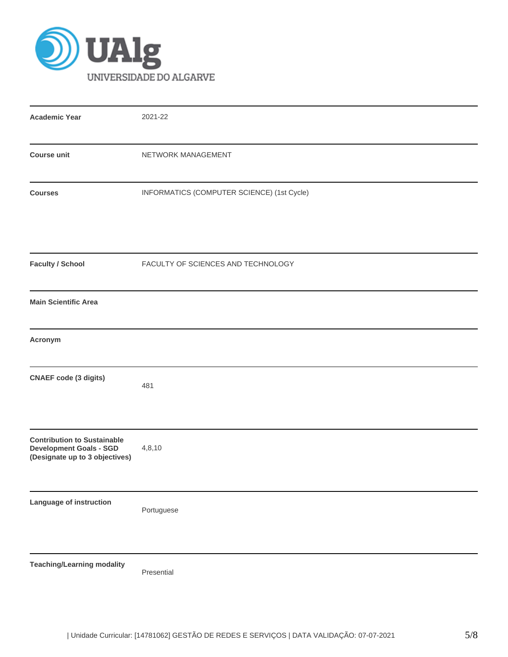

| <b>Academic Year</b>                                                                                   | 2021-22                                    |
|--------------------------------------------------------------------------------------------------------|--------------------------------------------|
| <b>Course unit</b>                                                                                     | NETWORK MANAGEMENT                         |
| <b>Courses</b>                                                                                         | INFORMATICS (COMPUTER SCIENCE) (1st Cycle) |
| <b>Faculty / School</b>                                                                                | FACULTY OF SCIENCES AND TECHNOLOGY         |
| <b>Main Scientific Area</b>                                                                            |                                            |
| Acronym                                                                                                |                                            |
| <b>CNAEF code (3 digits)</b>                                                                           | 481                                        |
| <b>Contribution to Sustainable</b><br><b>Development Goals - SGD</b><br>(Designate up to 3 objectives) | 4,8,10                                     |
| Language of instruction                                                                                | Portuguese                                 |
| <b>Teaching/Learning modality</b>                                                                      | Presential                                 |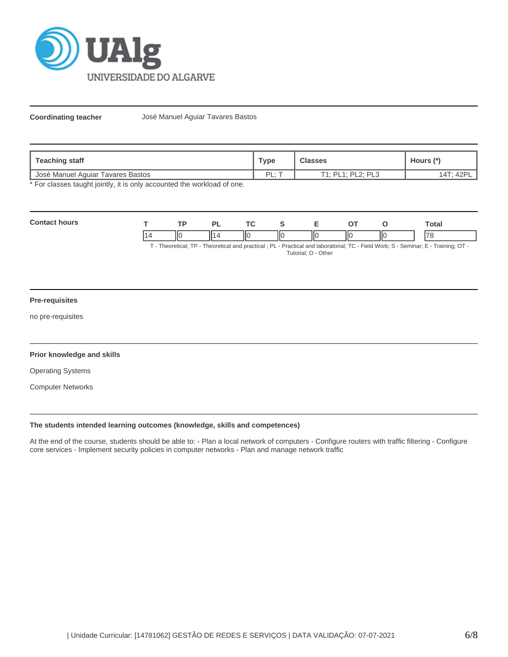

**Coordinating teacher** José Manuel Aguiar Tavares Bastos

| <b>Teaching staff</b>             | Type     | Classes           | Hours                   |  |
|-----------------------------------|----------|-------------------|-------------------------|--|
| José Manuel Aguiar Tavares Bastos | PI.<br>. | T1: PL1: PL2: PL3 | $A \cap \Gamma$<br>.4T: |  |

\* For classes taught jointly, it is only accounted the workload of one.

| Con |                                | ΞD |    | <b>TO</b> |    |   |    | otal          |
|-----|--------------------------------|----|----|-----------|----|---|----|---------------|
|     | II<br>$\overline{\phantom{a}}$ |    | II | Ш<br>Ю    | ΠС | Ш | ШC | $\rightarrow$ |

T - Theoretical; TP - Theoretical and practical ; PL - Practical and laboratorial; TC - Field Work; S - Seminar; E - Training; OT - Tutorial; O - Other

# **Pre-requisites**

no pre-requisites

### **Prior knowledge and skills**

Operating Systems

Computer Networks

# **The students intended learning outcomes (knowledge, skills and competences)**

At the end of the course, students should be able to: - Plan a local network of computers - Configure routers with traffic filtering - Configure core services - Implement security policies in computer networks - Plan and manage network traffic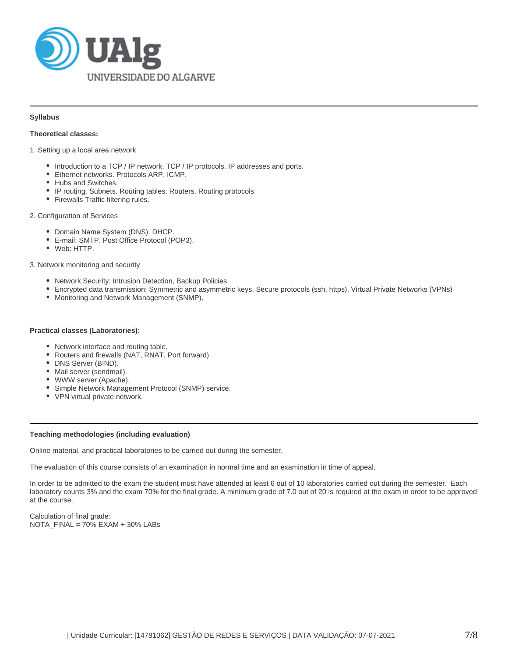

### **Syllabus**

### **Theoretical classes:**

1. Setting up a local area network

- Introduction to a TCP / IP network. TCP / IP protocols. IP addresses and ports.
- Ethernet networks. Protocols ARP, ICMP.
- Hubs and Switches.
- IP routing. Subnets. Routing tables. Routers. Routing protocols.
- Firewalls Traffic filtering rules.

### 2. Configuration of Services

- Domain Name System (DNS). DHCP.
- E-mail: SMTP. Post Office Protocol (POP3).
- Web: HTTP.

3. Network monitoring and security

- Network Security: Intrusion Detection, Backup Policies.
- Encrypted data transmission: Symmetric and asymmetric keys. Secure protocols (ssh, https). Virtual Private Networks (VPNs)
- Monitoring and Network Management (SNMP).

### **Practical classes (Laboratories):**

- Network interface and routing table.
- Routers and firewalls (NAT, RNAT, Port forward)
- DNS Server (BIND).
- Mail server (sendmail).
- WWW server (Apache).
- Simple Network Management Protocol (SNMP) service.
- VPN virtual private network.

### **Teaching methodologies (including evaluation)**

Online material, and practical laboratories to be carried out during the semester.

The evaluation of this course consists of an examination in normal time and an examination in time of appeal.

In order to be admitted to the exam the student must have attended at least 6 out of 10 laboratories carried out during the semester. Each laboratory counts 3% and the exam 70% for the final grade. A minimum grade of 7.0 out of 20 is required at the exam in order to be approved at the course.

Calculation of final grade: NOTA\_FINAL = 70% EXAM + 30% LABs